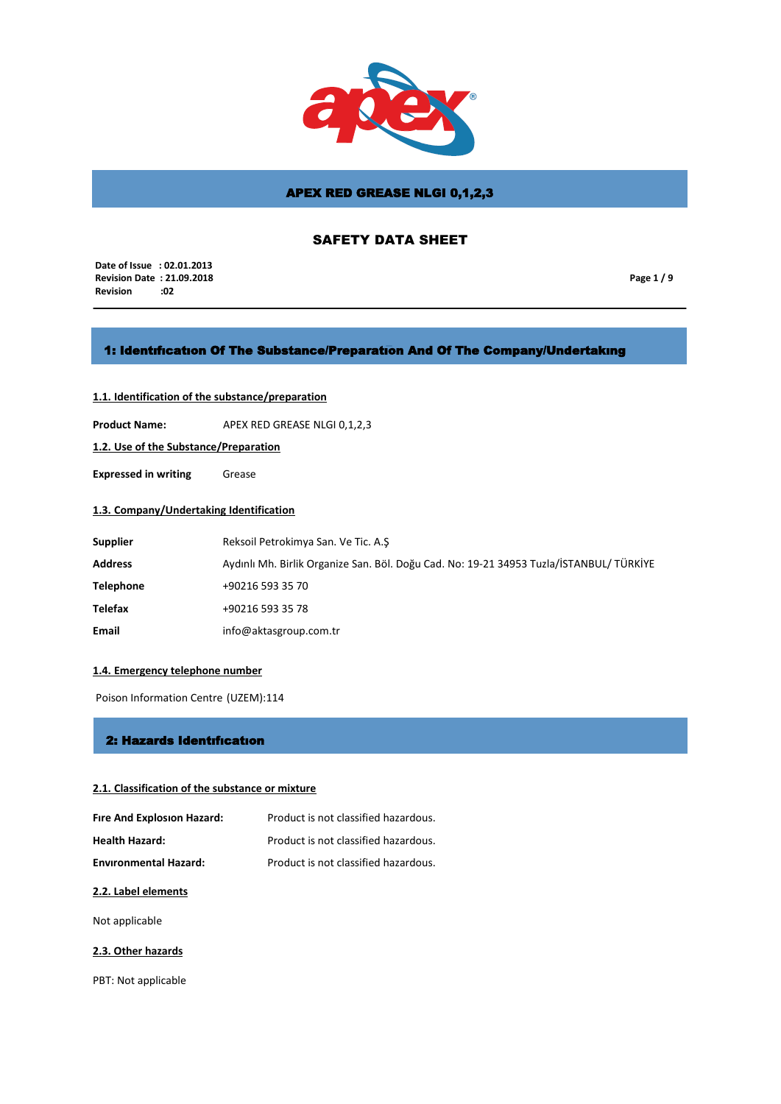

# SAFETY DATA SHEET

 **Date of Issue : 02.01.2013 Revision Date : 21.09.2018 Revision** 

**Page 1 / 9**

## 1: Identıfıcatıon Of The Substance/Preparatıon And Of The Company/Undertakıng

## **1.1. Identification of the substance/preparation**

**Product Name:** APEX RED GREASE NLGI 0,1,2,3

**1.2. Use of the Substance/Preparation**

**Expressed in writing** Grease

## **1.3. Company/Undertaking Identification**

| <b>Supplier</b>  | Reksoil Petrokimya San. Ve Tic. A.S                                                     |
|------------------|-----------------------------------------------------------------------------------------|
| <b>Address</b>   | Aydınlı Mh. Birlik Organize San. Böl. Doğu Cad. No: 19-21 34953 Tuzla/İSTANBUL/ TÜRKİYE |
| <b>Telephone</b> | +90216 593 35 70                                                                        |
| Telefax          | +90216 593 35 78                                                                        |
| Email            | info@aktasgroup.com.tr                                                                  |

### **1.4. Emergency telephone number**

Poison Information Centre (UZEM):114

### 2: Hazards Identıfıcatıon

### **2.1. Classification of the substance or mixture**

| Fire And Explosion Hazard:   | Product is not classified hazardous. |
|------------------------------|--------------------------------------|
| <b>Health Hazard:</b>        | Product is not classified hazardous. |
| <b>Environmental Hazard:</b> | Product is not classified hazardous. |

### **2.2. Label elements**

Not applicable

### **2.3. Other hazards**

PBT: Not applicable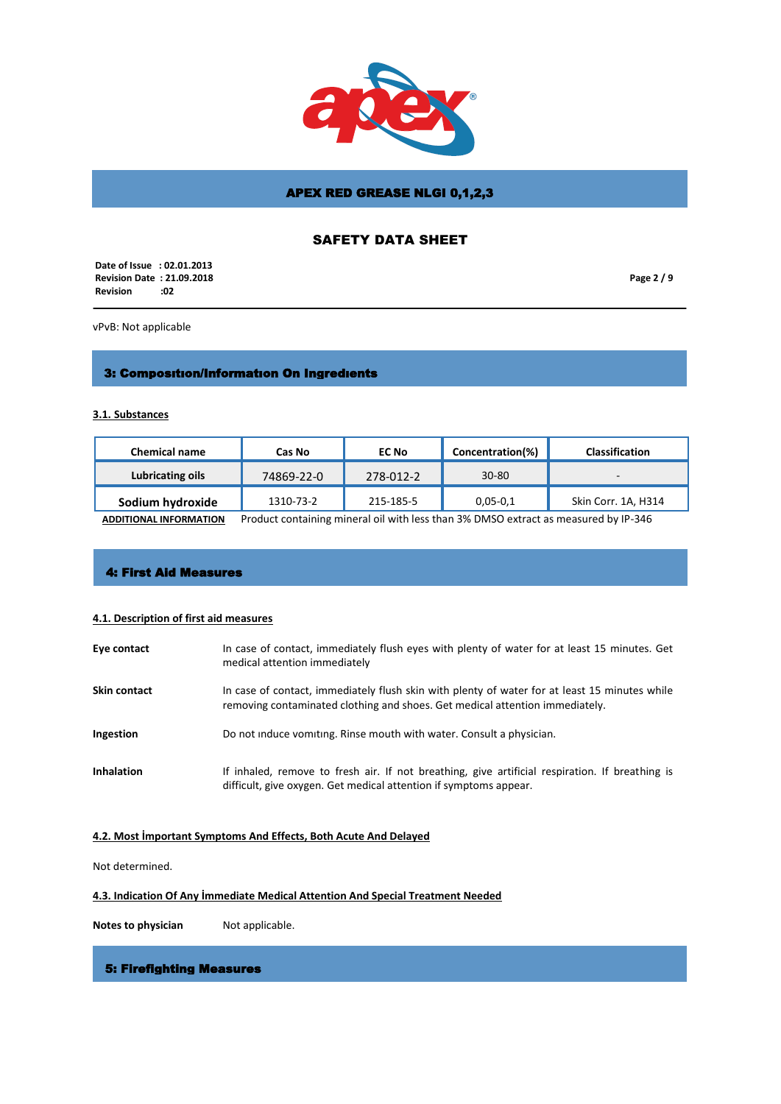

# SAFETY DATA SHEET

 **Date of Issue : 02.01.2013 Revision Date : 21.09.2018 Revision** 

**Page 2 / 9**

vPvB: Not applicable

# 3: Composıtıon/Informatıon On Ingredıents

**3.1. Substances**

| <b>Chemical name</b> | Cas No     | <b>EC No</b> | Concentration(%) | <b>Classification</b>    |
|----------------------|------------|--------------|------------------|--------------------------|
| Lubricating oils     | 74869-22-0 | 278-012-2    | $30 - 80$        | $\overline{\phantom{0}}$ |
| Sodium hydroxide     | 1310-73-2  | 215-185-5    | $0,05-0,1$       | Skin Corr. 1A, H314      |

**ADDITIONAL INFORMATION** Product containing mineral oil with less than 3% DMSO extract as measured by IP-346

# 4: First Aid Measures

### **4.1. Description of first aid measures**

| Eye contact         | In case of contact, immediately flush eyes with plenty of water for at least 15 minutes. Get<br>medical attention immediately                                                 |
|---------------------|-------------------------------------------------------------------------------------------------------------------------------------------------------------------------------|
| <b>Skin contact</b> | In case of contact, immediately flush skin with plenty of water for at least 15 minutes while<br>removing contaminated clothing and shoes. Get medical attention immediately. |
| Ingestion           | Do not induce vomiting. Rinse mouth with water. Consult a physician.                                                                                                          |
| <b>Inhalation</b>   | If inhaled, remove to fresh air. If not breathing, give artificial respiration. If breathing is<br>difficult, give oxygen. Get medical attention if symptoms appear.          |

## **4.2. Most İmportant Symptoms And Effects, Both Acute And Delayed**

Not determined.

## **4.3. Indication Of Any İmmediate Medical Attention And Special Treatment Needed**

**Notes to physician** Not applicable.

## 5: Firefighting Measures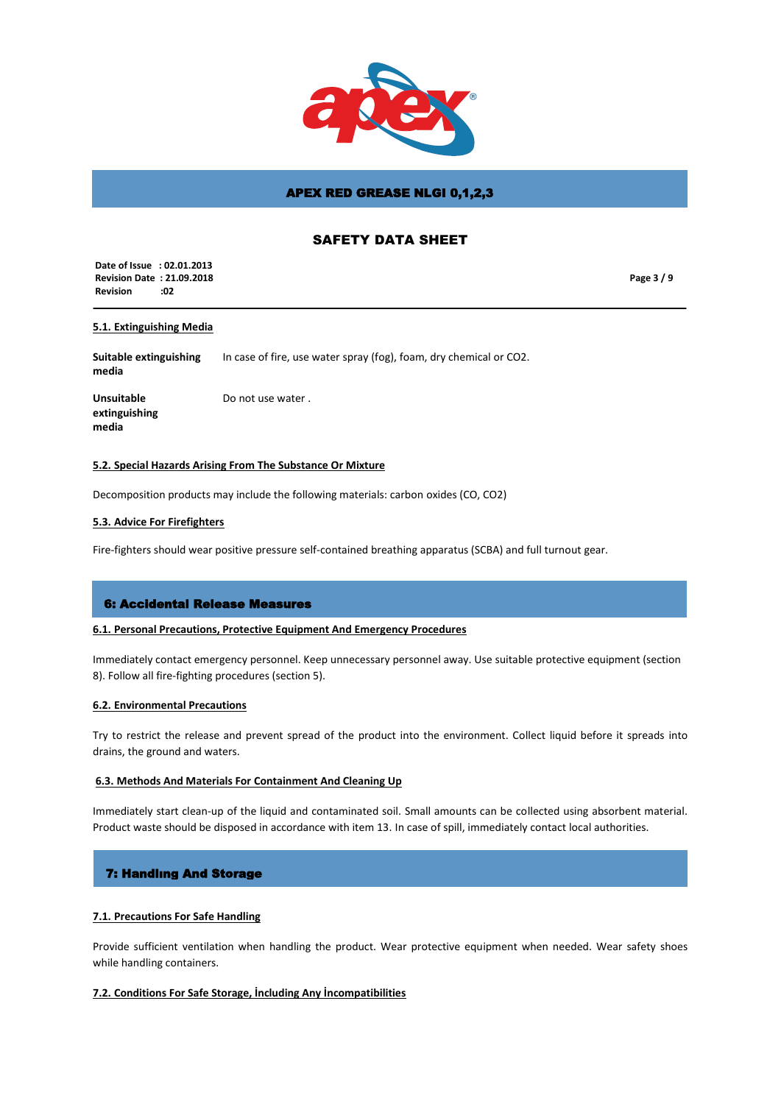

## SAFETY DATA SHEET

 **Date of Issue : 02.01.2013 Revision Date : 21.09.2018 Revision :02**

**Page 3 / 9**

### **5.1. Extinguishing Media**

**Suitable extinguishing media** In case of fire, use water spray (fog), foam, dry chemical or CO2.

**Unsuitable extinguishing media**

Do not use water .

### **5.2. Special Hazards Arising From The Substance Or Mixture**

Decomposition products may include the following materials: carbon oxides (CO, CO2)

### **5.3. Advice For Firefighters**

Fire-fighters should wear positive pressure self-contained breathing apparatus (SCBA) and full turnout gear.

### 6: Accidental Release Measures

#### **6.1. Personal Precautions, Protective Equipment And Emergency Procedures**

Immediately contact emergency personnel. Keep unnecessary personnel away. Use suitable protective equipment (section 8). Follow all fire-fighting procedures (section 5).

#### **6.2. Environmental Precautions**

Try to restrict the release and prevent spread of the product into the environment. Collect liquid before it spreads into drains, the ground and waters.

### **6.3. Methods And Materials For Containment And Cleaning Up**

Immediately start clean-up of the liquid and contaminated soil. Small amounts can be collected using absorbent material. Product waste should be disposed in accordance with item 13. In case of spill, immediately contact local authorities.

### 7: Handlıng And Storage

### **7.1. Precautions For Safe Handling**

Provide sufficient ventilation when handling the product. Wear protective equipment when needed. Wear safety shoes while handling containers.

### **7.2. Conditions For Safe Storage, İncluding Any İncompatibilities**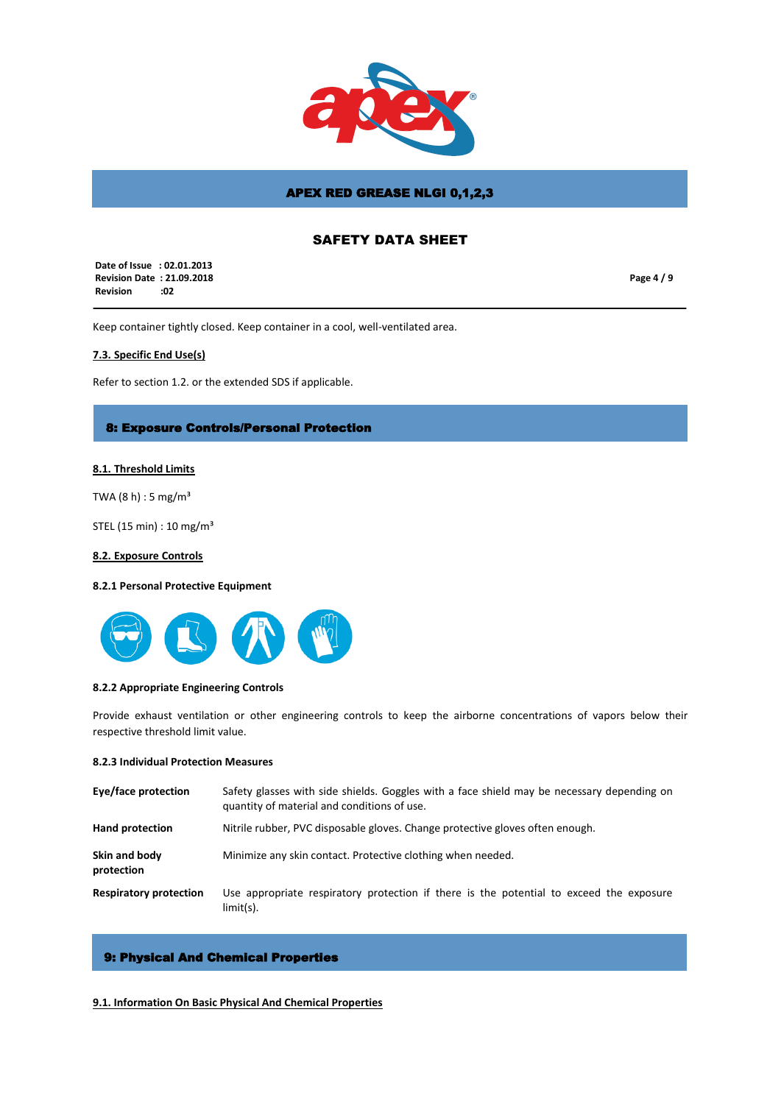

## SAFETY DATA SHEET

 **Date of Issue : 02.01.2013 Revision Date : 21.09.2018 Revision :02**

**Page 4 / 9**

Keep container tightly closed. Keep container in a cool, well-ventilated area.

### **7.3. Specific End Use(s)**

Refer to section 1.2. or the extended SDS if applicable.

### 8: Exposure Controls/Personal Protection

### **8.1. Threshold Limits**

TWA  $(8 h) : 5 mg/m<sup>3</sup>$ 

STEL (15 min) : 10 mg/m³

### **8.2. Exposure Controls**

## **8.2.1 Personal Protective Equipment**



#### **8.2.2 Appropriate Engineering Controls**

Provide exhaust ventilation or other engineering controls to keep the airborne concentrations of vapors below their respective threshold limit value.

### **8.2.3 Individual Protection Measures**

| Eye/face protection           | Safety glasses with side shields. Goggles with a face shield may be necessary depending on<br>quantity of material and conditions of use. |
|-------------------------------|-------------------------------------------------------------------------------------------------------------------------------------------|
| Hand protection               | Nitrile rubber, PVC disposable gloves. Change protective gloves often enough.                                                             |
| Skin and body<br>protection   | Minimize any skin contact. Protective clothing when needed.                                                                               |
| <b>Respiratory protection</b> | Use appropriate respiratory protection if there is the potential to exceed the exposure<br>$limit(s)$ .                                   |

# 9: Physical And Chemical Properties

### **9.1. Information On Basic Physical And Chemical Properties**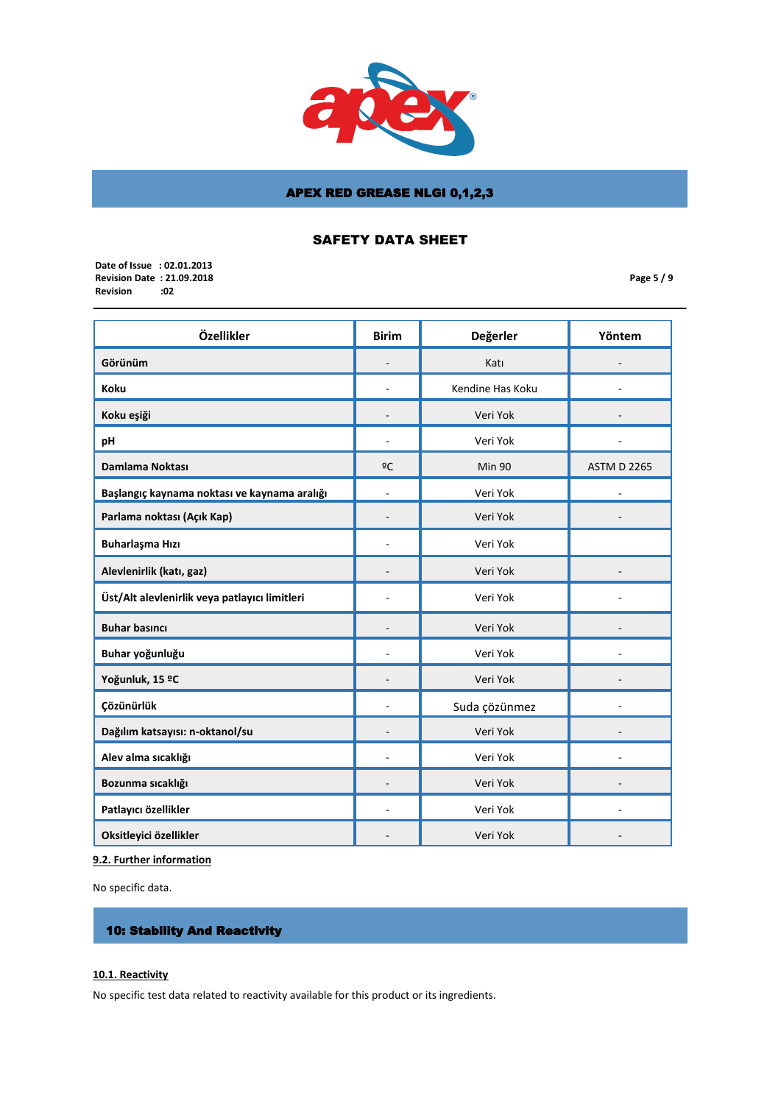

# SAFETY DATA SHEET

 **Date of Issue : 02.01.2013 Revision Date : 21.09.2018 Revision** 

**Page 5 / 9**

| Özellikler                                    | <b>Birim</b>             | Değerler         | Yöntem             |
|-----------------------------------------------|--------------------------|------------------|--------------------|
| Görünüm                                       |                          | Katı             |                    |
| Koku                                          |                          | Kendine Has Koku |                    |
| Koku eşiği                                    |                          | Veri Yok         |                    |
| рH                                            |                          | Veri Yok         |                    |
| Damlama Noktası                               | ºC                       | <b>Min 90</b>    | <b>ASTM D 2265</b> |
| Başlangıç kaynama noktası ve kaynama aralığı  | $\overline{\phantom{a}}$ | Veri Yok         |                    |
| Parlama noktası (Açık Kap)                    |                          | Veri Yok         |                    |
| Buharlaşma Hızı                               |                          | Veri Yok         |                    |
| Alevlenirlik (katı, gaz)                      |                          | Veri Yok         |                    |
| Üst/Alt alevlenirlik veya patlayıcı limitleri |                          | Veri Yok         |                    |
| <b>Buhar basıncı</b>                          | $\overline{\phantom{a}}$ | Veri Yok         |                    |
| Buhar yoğunluğu                               |                          | Veri Yok         |                    |
| Yoğunluk, 15 ºC                               |                          | Veri Yok         |                    |
| Çözünürlük                                    |                          | Suda çözünmez    |                    |
| Dağılım katsayısı: n-oktanol/su               |                          | Veri Yok         |                    |
| Alev alma sıcaklığı                           |                          | Veri Yok         |                    |
| Bozunma sıcaklığı                             |                          | Veri Yok         |                    |
| Patlayıcı özellikler                          |                          | Veri Yok         |                    |
| Oksitleyici özellikler                        |                          | Veri Yok         |                    |

# **9.2. Further information**

No specific data.

# 10: Stability And Reactivity

## **10.1. Reactivity**

No specific test data related to reactivity available for this product or its ingredients.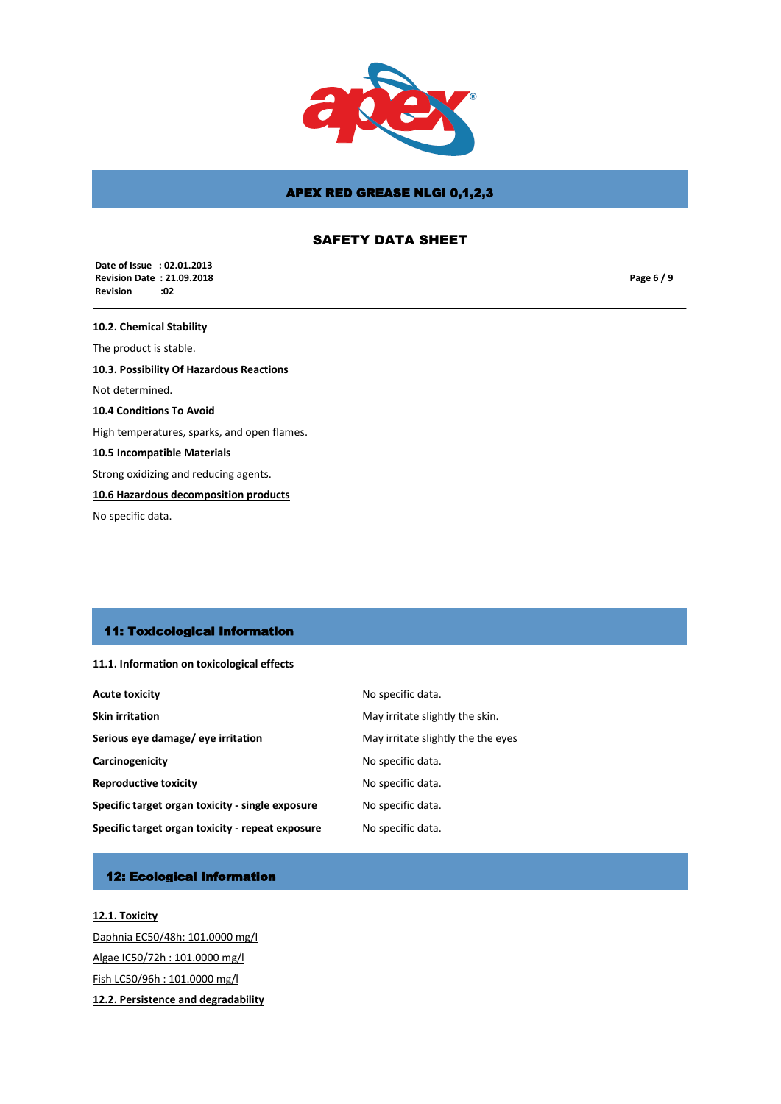

# SAFETY DATA SHEET

 **Date of Issue : 02.01.2013 Revision Date : 21.09.2018 Revision** 

**Page 6 / 9**

**10.2. Chemical Stability** The product is stable. **10.3. Possibility Of Hazardous Reactions** Not determined. **10.4 Conditions To Avoid** High temperatures, sparks, and open flames. **10.5 Incompatible Materials** Strong oxidizing and reducing agents. **10.6 Hazardous decomposition products**

No specific data.

## 11: Toxicological Information

### **11.1. Information on toxicological effects**

| <b>Acute toxicity</b>                            | No specific data.                  |
|--------------------------------------------------|------------------------------------|
| <b>Skin irritation</b>                           | May irritate slightly the skin.    |
| Serious eye damage/ eye irritation               | May irritate slightly the the eyes |
| Carcinogenicity                                  | No specific data.                  |
| <b>Reproductive toxicity</b>                     | No specific data.                  |
| Specific target organ toxicity - single exposure | No specific data.                  |
| Specific target organ toxicity - repeat exposure | No specific data.                  |

# 12: Ecological Information

**12.1. Toxicity** Daphnia EC50/48h: 101.0000 mg/l Algae IC50/72h : 101.0000 mg/l Fish LC50/96h : 101.0000 mg/l **12.2. Persistence and degradability**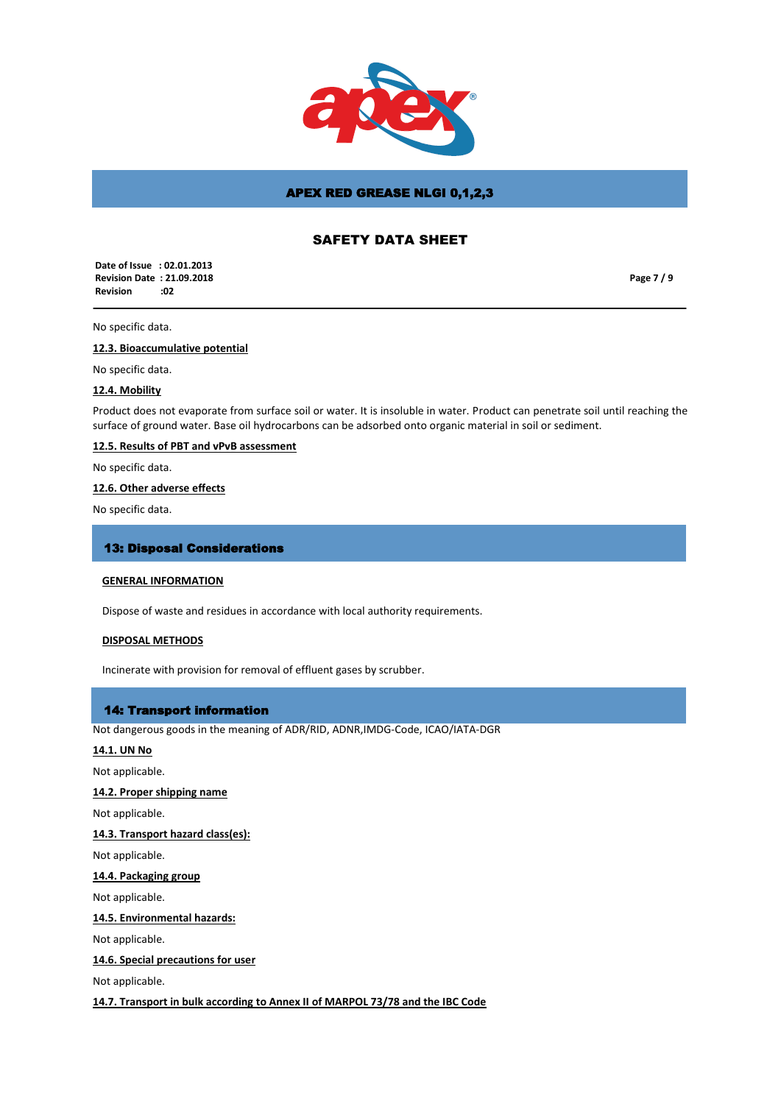

## SAFETY DATA SHEET

 **Date of Issue : 02.01.2013 Revision Date : 21.09.2018 Revision :02**

**Page 7 / 9**

### No specific data.

### **12.3. Bioaccumulative potential**

No specific data.

### **12.4. Mobility**

Product does not evaporate from surface soil or water. It is insoluble in water. Product can penetrate soil until reaching the surface of ground water. Base oil hydrocarbons can be adsorbed onto organic material in soil or sediment.

### **12.5. Results of PBT and vPvB assessment**

No specific data.

### **12.6. Other adverse effects**

No specific data.

### 13: Disposal Considerations

#### **GENERAL INFORMATION**

Dispose of waste and residues in accordance with local authority requirements.

### **DISPOSAL METHODS**

Incinerate with provision for removal of effluent gases by scrubber.

### 14: Transport information

Not dangerous goods in the meaning of ADR/RID, ADNR,IMDG-Code, ICAO/IATA-DGR

### **14.1. UN No**

Not applicable.

### **14.2. Proper shipping name**

Not applicable.

#### **14.3. Transport hazard class(es):**

Not applicable.

## **14.4. Packaging group**

Not applicable.

**14.5. Environmental hazards:**

Not applicable.

### **14.6. Special precautions for user**

Not applicable.

**14.7. Transport in bulk according to Annex II of MARPOL 73/78 and the IBC Code**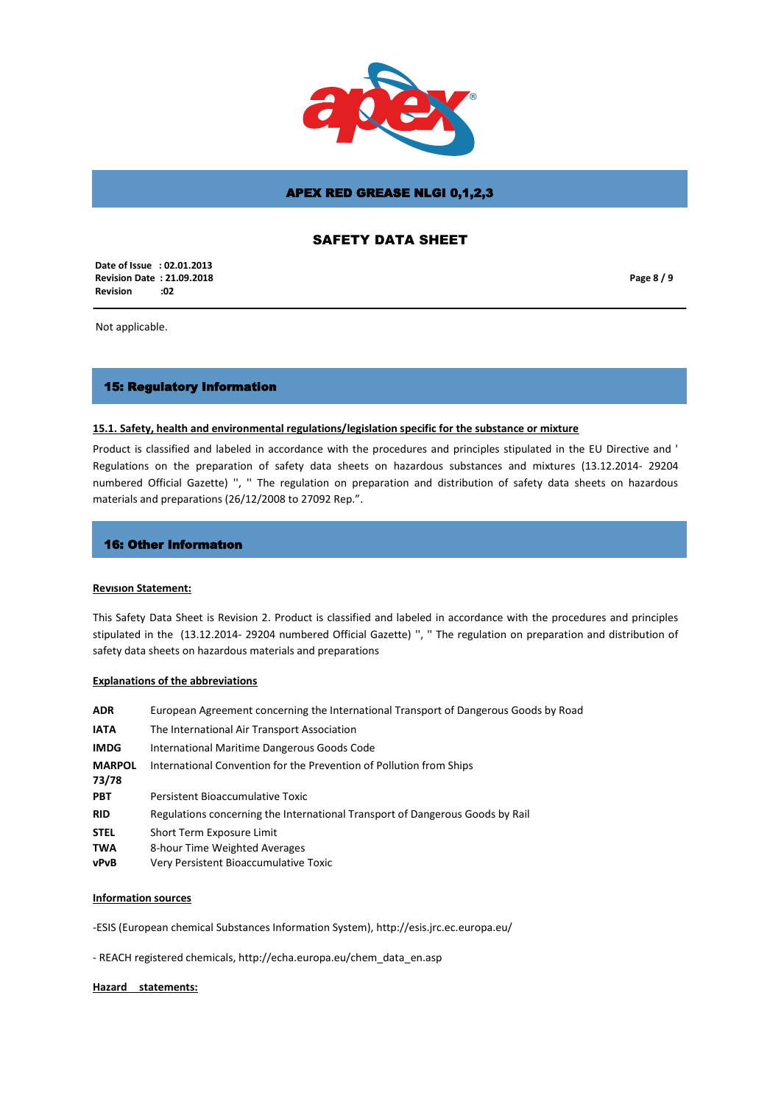

## SAFETY DATA SHEET

 **Date of Issue : 02.01.2013 Revision Date : 21.09.2018 Revision :02**

**Page 8 / 9**

Not applicable.

### 15: Regulatory Information

#### **15.1. Safety, health and environmental regulations/legislation specific for the substance or mixture**

Product is classified and labeled in accordance with the procedures and principles stipulated in the EU Directive and ' Regulations on the preparation of safety data sheets on hazardous substances and mixtures (13.12.2014- 29204 numbered Official Gazette) '', '' The regulation on preparation and distribution of safety data sheets on hazardous materials and preparations (26/12/2008 to 27092 Rep.".

#### 16: Other Informatıon

#### **Revısıon Statement:**

This Safety Data Sheet is Revision 2. Product is classified and labeled in accordance with the procedures and principles stipulated in the (13.12.2014- 29204 numbered Official Gazette) '', '' The regulation on preparation and distribution of safety data sheets on hazardous materials and preparations

#### **Explanations of the abbreviations**

| <b>ADR</b>             | European Agreement concerning the International Transport of Dangerous Goods by Road |
|------------------------|--------------------------------------------------------------------------------------|
| IATA                   | The International Air Transport Association                                          |
| IMDG                   | International Maritime Dangerous Goods Code                                          |
| <b>MARPOL</b><br>73/78 | International Convention for the Prevention of Pollution from Ships                  |
| PBT                    | Persistent Bioaccumulative Toxic                                                     |
| RID                    | Regulations concerning the International Transport of Dangerous Goods by Rail        |
| <b>STEL</b>            | Short Term Exposure Limit                                                            |
| TWA                    | 8-hour Time Weighted Averages                                                        |
| vPvB                   | Very Persistent Bioaccumulative Toxic                                                |
|                        |                                                                                      |

### **Information sources**

-ESIS (European chemical Substances Information System), http://esis.jrc.ec.europa.eu/

- REACH registered chemicals, http://echa.europa.eu/chem\_data\_en.asp

#### **Hazard statements:**